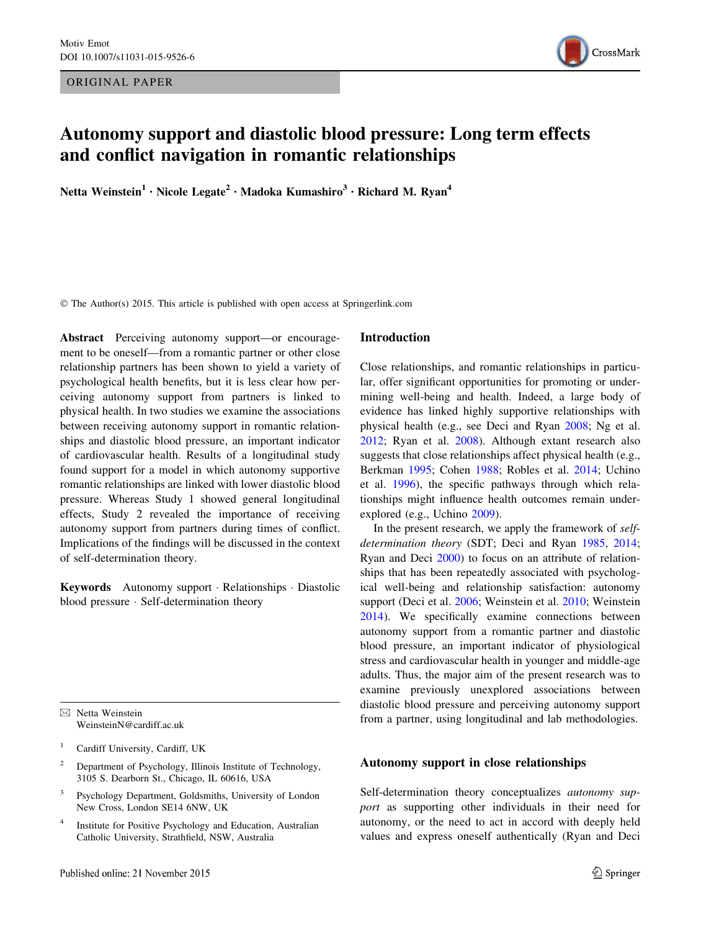ORIGINAL PAPER



# Autonomy support and diastolic blood pressure: Long term effects and conflict navigation in romantic relationships

Netta Weinstein<sup>1</sup> • Nicole Legate<sup>2</sup> • Madoka Kumashiro<sup>3</sup> • Richard M. Ryan<sup>4</sup>

© The Author(s) 2015. This article is published with open access at Springerlink.com

Abstract Perceiving autonomy support—or encouragement to be oneself—from a romantic partner or other close relationship partners has been shown to yield a variety of psychological health benefits, but it is less clear how perceiving autonomy support from partners is linked to physical health. In two studies we examine the associations between receiving autonomy support in romantic relationships and diastolic blood pressure, an important indicator of cardiovascular health. Results of a longitudinal study found support for a model in which autonomy supportive romantic relationships are linked with lower diastolic blood pressure. Whereas Study 1 showed general longitudinal effects, Study 2 revealed the importance of receiving autonomy support from partners during times of conflict. Implications of the findings will be discussed in the context of self-determination theory.

Keywords Autonomy support - Relationships - Diastolic blood pressure - Self-determination theory

 $\boxtimes$  Netta Weinstein WeinsteinN@cardiff.ac.uk

- <sup>2</sup> Department of Psychology, Illinois Institute of Technology, 3105 S. Dearborn St., Chicago, IL 60616, USA
- Psychology Department, Goldsmiths, University of London New Cross, London SE14 6NW, UK
- <sup>4</sup> Institute for Positive Psychology and Education, Australian Catholic University, Strathfield, NSW, Australia

#### Introduction

Close relationships, and romantic relationships in particular, offer significant opportunities for promoting or undermining well-being and health. Indeed, a large body of evidence has linked highly supportive relationships with physical health (e.g., see Deci and Ryan [2008](#page-11-0); Ng et al. [2012](#page-12-0); Ryan et al. [2008\)](#page-12-0). Although extant research also suggests that close relationships affect physical health (e.g., Berkman [1995;](#page-10-0) Cohen [1988;](#page-10-0) Robles et al. [2014;](#page-12-0) Uchino et al. [1996](#page-13-0)), the specific pathways through which relationships might influence health outcomes remain underexplored (e.g., Uchino [2009\)](#page-13-0).

In the present research, we apply the framework of self-determination theory (SDT; Deci and Ryan [1985](#page-11-0), [2014](#page-11-0); Ryan and Deci [2000](#page-12-0)) to focus on an attribute of relationships that has been repeatedly associated with psychological well-being and relationship satisfaction: autonomy support (Deci et al. [2006](#page-11-0); Weinstein et al. [2010;](#page-13-0) Weinstein [2014](#page-13-0)). We specifically examine connections between autonomy support from a romantic partner and diastolic blood pressure, an important indicator of physiological stress and cardiovascular health in younger and middle-age adults. Thus, the major aim of the present research was to examine previously unexplored associations between diastolic blood pressure and perceiving autonomy support from a partner, using longitudinal and lab methodologies.

# Autonomy support in close relationships

Self-determination theory conceptualizes autonomy support as supporting other individuals in their need for autonomy, or the need to act in accord with deeply held values and express oneself authentically (Ryan and Deci

<sup>&</sup>lt;sup>1</sup> Cardiff University, Cardiff, UK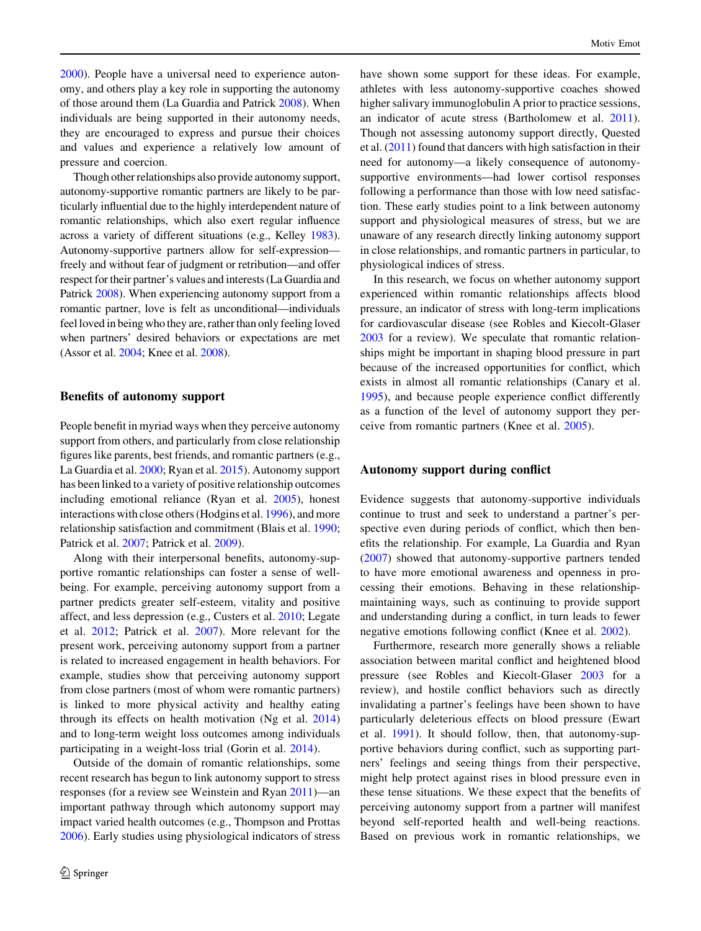[2000\)](#page-12-0). People have a universal need to experience autonomy, and others play a key role in supporting the autonomy of those around them (La Guardia and Patrick [2008\)](#page-11-0). When individuals are being supported in their autonomy needs, they are encouraged to express and pursue their choices and values and experience a relatively low amount of pressure and coercion.

Though other relationships also provide autonomy support, autonomy-supportive romantic partners are likely to be particularly influential due to the highly interdependent nature of romantic relationships, which also exert regular influence across a variety of different situations (e.g., Kelley [1983](#page-11-0)). Autonomy-supportive partners allow for self-expression freely and without fear of judgment or retribution—and offer respect for their partner's values and interests (La Guardia and Patrick [2008](#page-11-0)). When experiencing autonomy support from a romantic partner, love is felt as unconditional—individuals feel loved in being who they are, rather than only feeling loved when partners' desired behaviors or expectations are met (Assor et al. [2004;](#page-10-0) Knee et al. [2008](#page-11-0)).

# Benefits of autonomy support

People benefit in myriad ways when they perceive autonomy support from others, and particularly from close relationship figures like parents, best friends, and romantic partners (e.g., La Guardia et al. [2000](#page-11-0); Ryan et al. [2015\)](#page-12-0). Autonomy support has been linked to a variety of positive relationship outcomes including emotional reliance (Ryan et al. [2005](#page-12-0)), honest interactions with close others (Hodgins et al. [1996](#page-11-0)), and more relationship satisfaction and commitment (Blais et al. [1990](#page-10-0); Patrick et al. [2007;](#page-12-0) Patrick et al. [2009](#page-12-0)).

Along with their interpersonal benefits, autonomy-supportive romantic relationships can foster a sense of wellbeing. For example, perceiving autonomy support from a partner predicts greater self-esteem, vitality and positive affect, and less depression (e.g., Custers et al. [2010](#page-10-0); Legate et al. [2012;](#page-12-0) Patrick et al. [2007\)](#page-12-0). More relevant for the present work, perceiving autonomy support from a partner is related to increased engagement in health behaviors. For example, studies show that perceiving autonomy support from close partners (most of whom were romantic partners) is linked to more physical activity and healthy eating through its effects on health motivation (Ng et al. [2014\)](#page-12-0) and to long-term weight loss outcomes among individuals participating in a weight-loss trial (Gorin et al. [2014\)](#page-11-0).

Outside of the domain of romantic relationships, some recent research has begun to link autonomy support to stress responses (for a review see Weinstein and Ryan [2011](#page-13-0))—an important pathway through which autonomy support may impact varied health outcomes (e.g., Thompson and Prottas [2006\)](#page-13-0). Early studies using physiological indicators of stress have shown some support for these ideas. For example, athletes with less autonomy-supportive coaches showed higher salivary immunoglobulin A prior to practice sessions, an indicator of acute stress (Bartholomew et al. [2011](#page-10-0)). Though not assessing autonomy support directly, Quested et al. [\(2011](#page-12-0)) found that dancers with high satisfaction in their need for autonomy—a likely consequence of autonomysupportive environments—had lower cortisol responses following a performance than those with low need satisfaction. These early studies point to a link between autonomy support and physiological measures of stress, but we are unaware of any research directly linking autonomy support in close relationships, and romantic partners in particular, to physiological indices of stress.

In this research, we focus on whether autonomy support experienced within romantic relationships affects blood pressure, an indicator of stress with long-term implications for cardiovascular disease (see Robles and Kiecolt-Glaser [2003](#page-12-0) for a review). We speculate that romantic relationships might be important in shaping blood pressure in part because of the increased opportunities for conflict, which exists in almost all romantic relationships (Canary et al. [1995](#page-10-0)), and because people experience conflict differently as a function of the level of autonomy support they perceive from romantic partners (Knee et al. [2005](#page-11-0)).

# Autonomy support during conflict

Evidence suggests that autonomy-supportive individuals continue to trust and seek to understand a partner's perspective even during periods of conflict, which then benefits the relationship. For example, La Guardia and Ryan [\(2007](#page-11-0)) showed that autonomy-supportive partners tended to have more emotional awareness and openness in processing their emotions. Behaving in these relationshipmaintaining ways, such as continuing to provide support and understanding during a conflict, in turn leads to fewer negative emotions following conflict (Knee et al. [2002](#page-11-0)).

Furthermore, research more generally shows a reliable association between marital conflict and heightened blood pressure (see Robles and Kiecolt-Glaser [2003](#page-12-0) for a review), and hostile conflict behaviors such as directly invalidating a partner's feelings have been shown to have particularly deleterious effects on blood pressure (Ewart et al. [1991\)](#page-11-0). It should follow, then, that autonomy-supportive behaviors during conflict, such as supporting partners' feelings and seeing things from their perspective, might help protect against rises in blood pressure even in these tense situations. We these expect that the benefits of perceiving autonomy support from a partner will manifest beyond self-reported health and well-being reactions. Based on previous work in romantic relationships, we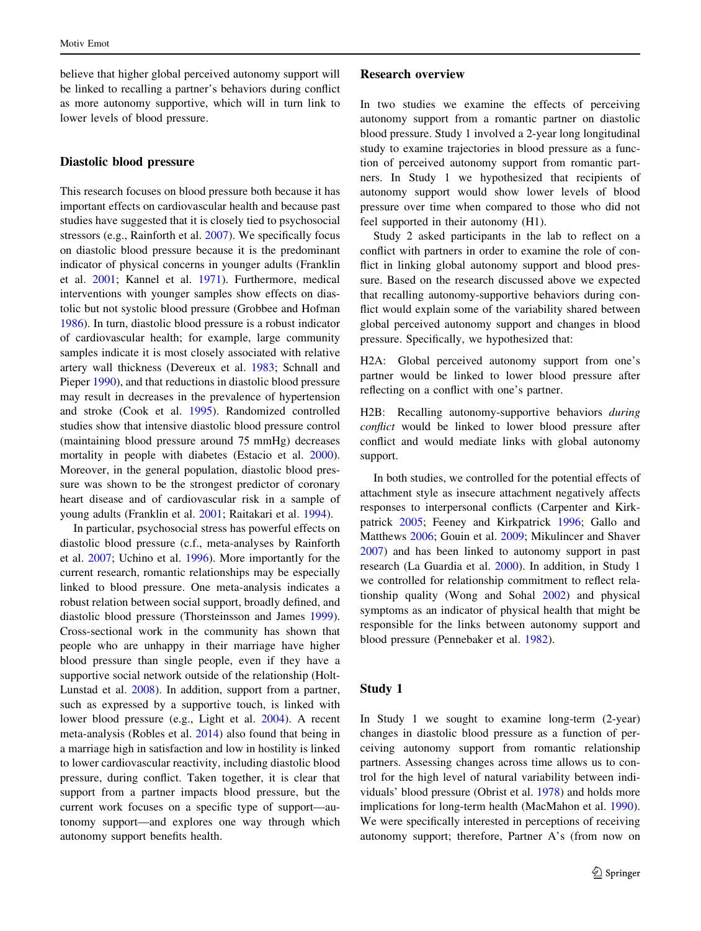believe that higher global perceived autonomy support will be linked to recalling a partner's behaviors during conflict as more autonomy supportive, which will in turn link to lower levels of blood pressure.

### Diastolic blood pressure

This research focuses on blood pressure both because it has important effects on cardiovascular health and because past studies have suggested that it is closely tied to psychosocial stressors (e.g., Rainforth et al. [2007](#page-12-0)). We specifically focus on diastolic blood pressure because it is the predominant indicator of physical concerns in younger adults (Franklin et al. [2001;](#page-11-0) Kannel et al. [1971](#page-11-0)). Furthermore, medical interventions with younger samples show effects on diastolic but not systolic blood pressure (Grobbee and Hofman [1986\)](#page-11-0). In turn, diastolic blood pressure is a robust indicator of cardiovascular health; for example, large community samples indicate it is most closely associated with relative artery wall thickness (Devereux et al. [1983](#page-11-0); Schnall and Pieper [1990\)](#page-12-0), and that reductions in diastolic blood pressure may result in decreases in the prevalence of hypertension and stroke (Cook et al. [1995\)](#page-10-0). Randomized controlled studies show that intensive diastolic blood pressure control (maintaining blood pressure around 75 mmHg) decreases mortality in people with diabetes (Estacio et al. [2000](#page-11-0)). Moreover, in the general population, diastolic blood pressure was shown to be the strongest predictor of coronary heart disease and of cardiovascular risk in a sample of young adults (Franklin et al. [2001](#page-11-0); Raitakari et al. [1994\)](#page-12-0).

In particular, psychosocial stress has powerful effects on diastolic blood pressure (c.f., meta-analyses by Rainforth et al. [2007;](#page-12-0) Uchino et al. [1996\)](#page-13-0). More importantly for the current research, romantic relationships may be especially linked to blood pressure. One meta-analysis indicates a robust relation between social support, broadly defined, and diastolic blood pressure (Thorsteinsson and James [1999](#page-13-0)). Cross-sectional work in the community has shown that people who are unhappy in their marriage have higher blood pressure than single people, even if they have a supportive social network outside of the relationship (Holt-Lunstad et al. [2008\)](#page-11-0). In addition, support from a partner, such as expressed by a supportive touch, is linked with lower blood pressure (e.g., Light et al. [2004](#page-12-0)). A recent meta-analysis (Robles et al. [2014](#page-12-0)) also found that being in a marriage high in satisfaction and low in hostility is linked to lower cardiovascular reactivity, including diastolic blood pressure, during conflict. Taken together, it is clear that support from a partner impacts blood pressure, but the current work focuses on a specific type of support—autonomy support—and explores one way through which autonomy support benefits health.

# Research overview

In two studies we examine the effects of perceiving autonomy support from a romantic partner on diastolic blood pressure. Study 1 involved a 2-year long longitudinal study to examine trajectories in blood pressure as a function of perceived autonomy support from romantic partners. In Study 1 we hypothesized that recipients of autonomy support would show lower levels of blood pressure over time when compared to those who did not feel supported in their autonomy (H1).

Study 2 asked participants in the lab to reflect on a conflict with partners in order to examine the role of conflict in linking global autonomy support and blood pressure. Based on the research discussed above we expected that recalling autonomy-supportive behaviors during conflict would explain some of the variability shared between global perceived autonomy support and changes in blood pressure. Specifically, we hypothesized that:

H2A: Global perceived autonomy support from one's partner would be linked to lower blood pressure after reflecting on a conflict with one's partner.

H2B: Recalling autonomy-supportive behaviors during conflict would be linked to lower blood pressure after conflict and would mediate links with global autonomy support.

In both studies, we controlled for the potential effects of attachment style as insecure attachment negatively affects responses to interpersonal conflicts (Carpenter and Kirkpatrick [2005](#page-10-0); Feeney and Kirkpatrick [1996;](#page-11-0) Gallo and Matthews [2006;](#page-11-0) Gouin et al. [2009;](#page-11-0) Mikulincer and Shaver [2007](#page-12-0)) and has been linked to autonomy support in past research (La Guardia et al. [2000\)](#page-11-0). In addition, in Study 1 we controlled for relationship commitment to reflect relationship quality (Wong and Sohal [2002](#page-13-0)) and physical symptoms as an indicator of physical health that might be responsible for the links between autonomy support and blood pressure (Pennebaker et al. [1982\)](#page-12-0).

# Study 1

In Study 1 we sought to examine long-term (2-year) changes in diastolic blood pressure as a function of perceiving autonomy support from romantic relationship partners. Assessing changes across time allows us to control for the high level of natural variability between individuals' blood pressure (Obrist et al. [1978](#page-12-0)) and holds more implications for long-term health (MacMahon et al. [1990](#page-12-0)). We were specifically interested in perceptions of receiving autonomy support; therefore, Partner A's (from now on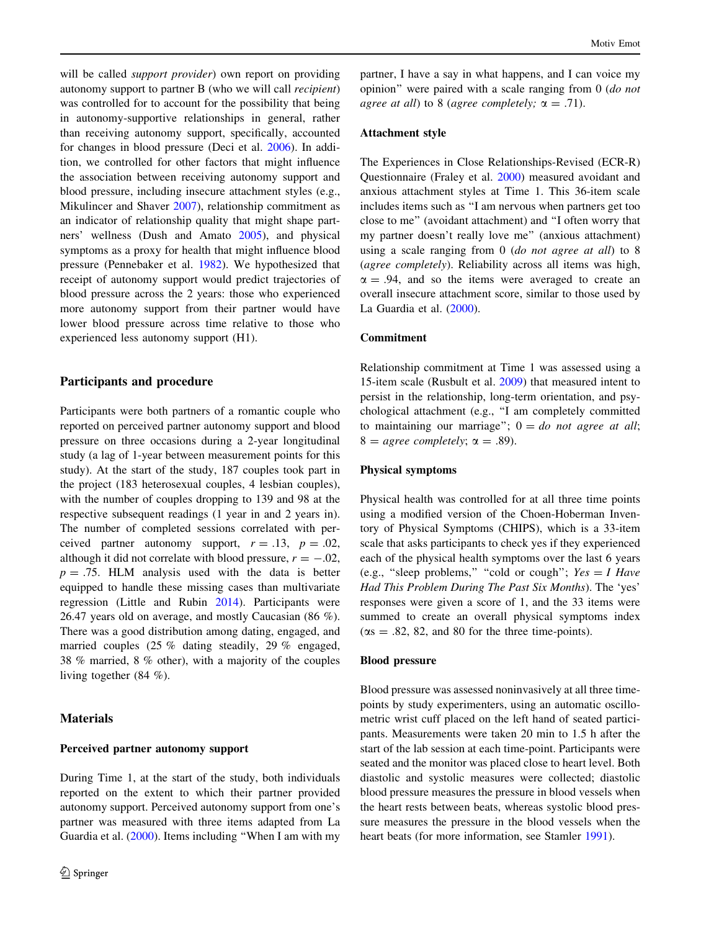will be called *support provider*) own report on providing autonomy support to partner B (who we will call recipient) was controlled for to account for the possibility that being in autonomy-supportive relationships in general, rather than receiving autonomy support, specifically, accounted for changes in blood pressure (Deci et al. [2006](#page-11-0)). In addition, we controlled for other factors that might influence the association between receiving autonomy support and blood pressure, including insecure attachment styles (e.g., Mikulincer and Shaver [2007](#page-12-0)), relationship commitment as an indicator of relationship quality that might shape partners' wellness (Dush and Amato [2005\)](#page-11-0), and physical symptoms as a proxy for health that might influence blood pressure (Pennebaker et al. [1982\)](#page-12-0). We hypothesized that receipt of autonomy support would predict trajectories of blood pressure across the 2 years: those who experienced more autonomy support from their partner would have lower blood pressure across time relative to those who experienced less autonomy support (H1).

### Participants and procedure

Participants were both partners of a romantic couple who reported on perceived partner autonomy support and blood pressure on three occasions during a 2-year longitudinal study (a lag of 1-year between measurement points for this study). At the start of the study, 187 couples took part in the project (183 heterosexual couples, 4 lesbian couples), with the number of couples dropping to 139 and 98 at the respective subsequent readings (1 year in and 2 years in). The number of completed sessions correlated with perceived partner autonomy support,  $r = .13$ ,  $p = .02$ , although it did not correlate with blood pressure,  $r = -.02$ ,  $p = .75$ . HLM analysis used with the data is better equipped to handle these missing cases than multivariate regression (Little and Rubin [2014](#page-12-0)). Participants were 26.47 years old on average, and mostly Caucasian (86 %). There was a good distribution among dating, engaged, and married couples (25 % dating steadily, 29 % engaged, 38 % married, 8 % other), with a majority of the couples living together (84 %).

### **Materials**

#### Perceived partner autonomy support

During Time 1, at the start of the study, both individuals reported on the extent to which their partner provided autonomy support. Perceived autonomy support from one's partner was measured with three items adapted from La Guardia et al. ([2000\)](#page-11-0). Items including ''When I am with my

partner, I have a say in what happens, and I can voice my opinion'' were paired with a scale ranging from 0 (do not agree at all) to 8 (agree completely;  $\alpha = .71$ ).

# Attachment style

The Experiences in Close Relationships-Revised (ECR-R) Questionnaire (Fraley et al. [2000\)](#page-11-0) measured avoidant and anxious attachment styles at Time 1. This 36-item scale includes items such as ''I am nervous when partners get too close to me'' (avoidant attachment) and ''I often worry that my partner doesn't really love me'' (anxious attachment) using a scale ranging from 0 (do not agree at all) to 8 (agree completely). Reliability across all items was high,  $\alpha = .94$ , and so the items were averaged to create an overall insecure attachment score, similar to those used by La Guardia et al. ([2000\)](#page-11-0).

### Commitment

Relationship commitment at Time 1 was assessed using a 15-item scale (Rusbult et al. [2009](#page-12-0)) that measured intent to persist in the relationship, long-term orientation, and psychological attachment (e.g., ''I am completely committed to maintaining our marriage";  $0 = do$  not agree at all;  $8 = \text{agree completely}; \alpha = .89$ ).

#### Physical symptoms

Physical health was controlled for at all three time points using a modified version of the Choen-Hoberman Inventory of Physical Symptoms (CHIPS), which is a 33-item scale that asks participants to check yes if they experienced each of the physical health symptoms over the last 6 years (e.g., "sleep problems," "cold or cough";  $Yes = I Have$ Had This Problem During The Past Six Months). The 'yes' responses were given a score of 1, and the 33 items were summed to create an overall physical symptoms index  $(\alpha s = .82, 82, \text{ and } 80 \text{ for the three time-points}).$ 

### Blood pressure

Blood pressure was assessed noninvasively at all three timepoints by study experimenters, using an automatic oscillometric wrist cuff placed on the left hand of seated participants. Measurements were taken 20 min to 1.5 h after the start of the lab session at each time-point. Participants were seated and the monitor was placed close to heart level. Both diastolic and systolic measures were collected; diastolic blood pressure measures the pressure in blood vessels when the heart rests between beats, whereas systolic blood pressure measures the pressure in the blood vessels when the heart beats (for more information, see Stamler [1991](#page-12-0)).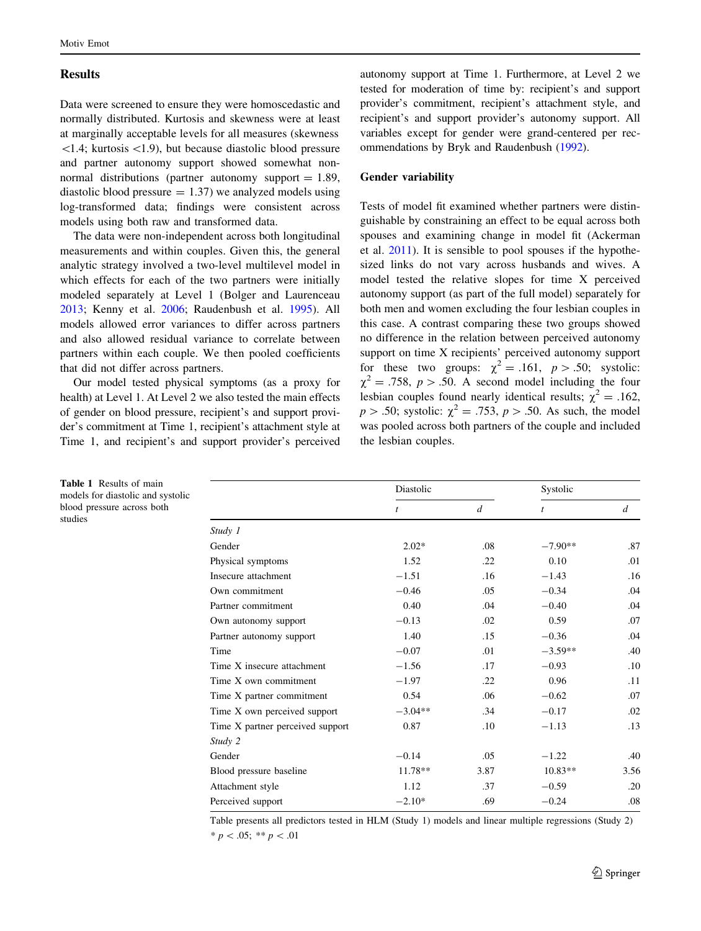# <span id="page-4-0"></span>**Results**

Data were screened to ensure they were homoscedastic and normally distributed. Kurtosis and skewness were at least at marginally acceptable levels for all measures (skewness  $\le$ 1.4; kurtosis  $\le$ 1.9), but because diastolic blood pressure and partner autonomy support showed somewhat nonnormal distributions (partner autonomy support  $= 1.89$ , diastolic blood pressure  $= 1.37$ ) we analyzed models using log-transformed data; findings were consistent across models using both raw and transformed data.

The data were non-independent across both longitudinal measurements and within couples. Given this, the general analytic strategy involved a two-level multilevel model in which effects for each of the two partners were initially modeled separately at Level 1 (Bolger and Laurenceau [2013;](#page-10-0) Kenny et al. [2006;](#page-11-0) Raudenbush et al. [1995\)](#page-12-0). All models allowed error variances to differ across partners and also allowed residual variance to correlate between partners within each couple. We then pooled coefficients that did not differ across partners.

Our model tested physical symptoms (as a proxy for health) at Level 1. At Level 2 we also tested the main effects of gender on blood pressure, recipient's and support provider's commitment at Time 1, recipient's attachment style at Time 1, and recipient's and support provider's perceived

autonomy support at Time 1. Furthermore, at Level 2 we tested for moderation of time by: recipient's and support provider's commitment, recipient's attachment style, and recipient's and support provider's autonomy support. All variables except for gender were grand-centered per recommendations by Bryk and Raudenbush ([1992](#page-10-0)).

### Gender variability

Tests of model fit examined whether partners were distinguishable by constraining an effect to be equal across both spouses and examining change in model fit (Ackerman et al. [2011](#page-10-0)). It is sensible to pool spouses if the hypothesized links do not vary across husbands and wives. A model tested the relative slopes for time X perceived autonomy support (as part of the full model) separately for both men and women excluding the four lesbian couples in this case. A contrast comparing these two groups showed no difference in the relation between perceived autonomy support on time X recipients' perceived autonomy support for these two groups:  $\chi^2 = .161$ ,  $p > .50$ ; systolic:  $\chi^2 = .758$ ,  $p > .50$ . A second model including the four lesbian couples found nearly identical results;  $\chi^2 = .162$ ,  $p > .50$ ; systolic:  $\gamma^2 = .753$ ,  $p > .50$ . As such, the model was pooled across both partners of the couple and included the lesbian couples.

|                                  | Diastolic      |                  | Systolic       |                |
|----------------------------------|----------------|------------------|----------------|----------------|
|                                  | $\mathfrak{t}$ | $\boldsymbol{d}$ | $\mathfrak{t}$ | $\overline{d}$ |
| Study 1                          |                |                  |                |                |
| Gender                           | $2.02*$        | .08              | $-7.90**$      | .87            |
| Physical symptoms                | 1.52           | .22              | 0.10           | .01            |
| Insecure attachment              | $-1.51$        | .16              | $-1.43$        | .16            |
| Own commitment                   | $-0.46$        | .05              | $-0.34$        | .04            |
| Partner commitment               | 0.40           | .04              | $-0.40$        | .04            |
| Own autonomy support             | $-0.13$        | .02              | 0.59           | .07            |
| Partner autonomy support         | 1.40           | .15              | $-0.36$        | .04            |
| Time                             | $-0.07$        | .01              | $-3.59**$      | .40            |
| Time X insecure attachment       | $-1.56$        | .17              | $-0.93$        | .10            |
| Time X own commitment            | $-1.97$        | .22              | 0.96           | .11            |
| Time X partner commitment        | 0.54           | .06              | $-0.62$        | .07            |
| Time X own perceived support     | $-3.04**$      | .34              | $-0.17$        | .02            |
| Time X partner perceived support | 0.87           | .10              | $-1.13$        | .13            |
| Study 2                          |                |                  |                |                |
| Gender                           | $-0.14$        | .05              | $-1.22$        | .40            |
| Blood pressure baseline          | 11.78**        | 3.87             | $10.83**$      | 3.56           |
| Attachment style                 | 1.12           | .37              | $-0.59$        | .20            |
| Perceived support                | $-2.10*$       | .69              | $-0.24$        | .08            |

Table presents all predictors tested in HLM (Study 1) models and linear multiple regressions (Study 2)  $* p < .05; ** p < .01$ 

Table 1 Results of main models for diastolic and systolic blood pressure across both studies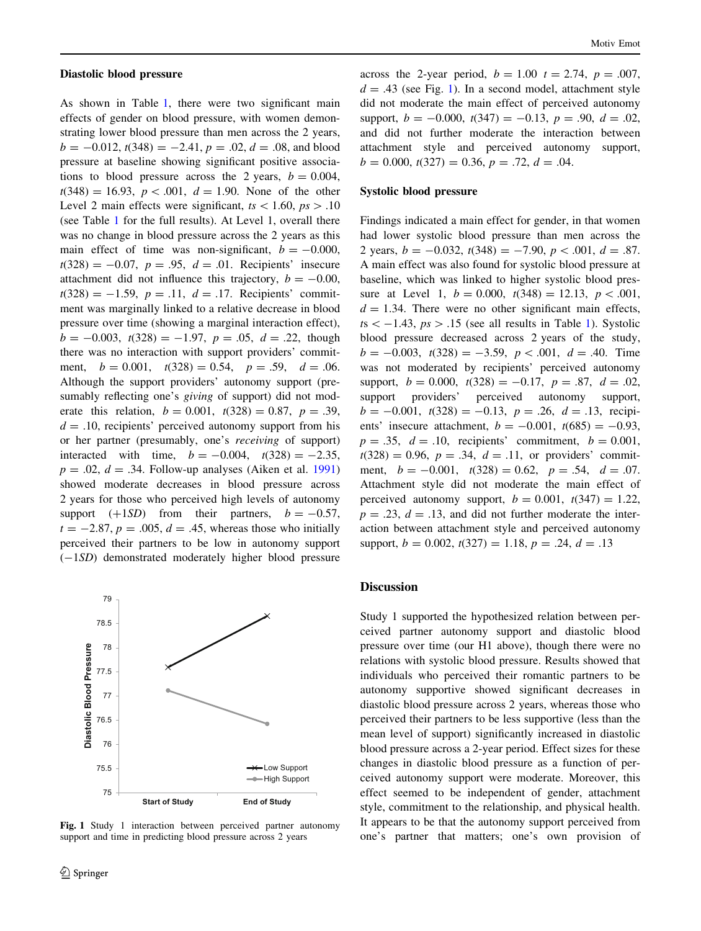#### Diastolic blood pressure

As shown in Table [1](#page-4-0), there were two significant main effects of gender on blood pressure, with women demonstrating lower blood pressure than men across the 2 years,  $b = -0.012$ ,  $t(348) = -2.41$ ,  $p = .02$ ,  $d = .08$ , and blood pressure at baseline showing significant positive associations to blood pressure across the 2 years,  $b = 0.004$ ,  $t(348) = 16.93$ ,  $p < .001$ ,  $d = 1.90$ . None of the other Level 2 main effects were significant,  $ts<1.60$ ,  $ps>.10$ (see Table [1](#page-4-0) for the full results). At Level 1, overall there was no change in blood pressure across the 2 years as this main effect of time was non-significant,  $b = -0.000$ ,  $t(328) = -0.07$ ,  $p = .95$ ,  $d = .01$ . Recipients' insecure attachment did not influence this trajectory,  $b = -0.00$ ,  $t(328) = -1.59$ ,  $p = .11$ ,  $d = .17$ . Recipients' commitment was marginally linked to a relative decrease in blood pressure over time (showing a marginal interaction effect),  $b = -0.003$ ,  $t(328) = -1.97$ ,  $p = .05$ ,  $d = .22$ , though there was no interaction with support providers' commitment,  $b = 0.001$ ,  $t(328) = 0.54$ ,  $p = .59$ ,  $d = .06$ . Although the support providers' autonomy support (presumably reflecting one's *giving* of support) did not moderate this relation,  $b = 0.001$ ,  $t(328) = 0.87$ ,  $p = .39$ ,  $d = .10$ , recipients' perceived autonomy support from his or her partner (presumably, one's receiving of support) interacted with time,  $b = -0.004$ ,  $t(328) = -2.35$ ,  $p = .02$ ,  $d = .34$ . Follow-up analyses (Aiken et al. [1991\)](#page-10-0) showed moderate decreases in blood pressure across 2 years for those who perceived high levels of autonomy support  $(+1SD)$  from their partners,  $b = -0.57$ ,  $t = -2.87$ ,  $p = .005$ ,  $d = .45$ , whereas those who initially perceived their partners to be low in autonomy support (-1SD) demonstrated moderately higher blood pressure



Fig. 1 Study 1 interaction between perceived partner autonomy support and time in predicting blood pressure across 2 years

across the 2-year period,  $b = 1.00$   $t = 2.74$ ,  $p = .007$ ,  $d = .43$  (see Fig. 1). In a second model, attachment style did not moderate the main effect of perceived autonomy support,  $b = -0.000$ ,  $t(347) = -0.13$ ,  $p = .90$ ,  $d = .02$ , and did not further moderate the interaction between attachment style and perceived autonomy support,  $b = 0.000, t(327) = 0.36, p = .72, d = .04.$ 

### Systolic blood pressure

Findings indicated a main effect for gender, in that women had lower systolic blood pressure than men across the 2 years,  $b = -0.032$ ,  $t(348) = -7.90$ ,  $p < .001$ ,  $d = .87$ . A main effect was also found for systolic blood pressure at baseline, which was linked to higher systolic blood pressure at Level 1,  $b = 0.000$ ,  $t(348) = 12.13$ ,  $p < .001$ ,  $d = 1.34$ . There were no other significant main effects,  $ts < -1.43$  $ts < -1.43$  $ts < -1.43$ ,  $ps > .15$  (see all results in Table 1). Systolic blood pressure decreased across 2 years of the study,  $b = -0.003$ ,  $t(328) = -3.59$ ,  $p < .001$ ,  $d = .40$ . Time was not moderated by recipients' perceived autonomy support,  $b = 0.000$ ,  $t(328) = -0.17$ ,  $p = .87$ ,  $d = .02$ , support providers' perceived autonomy support,  $b = -0.001$ ,  $t(328) = -0.13$ ,  $p = .26$ ,  $d = .13$ , recipients' insecure attachment,  $b = -0.001$ ,  $t(685) = -0.93$ ,  $p = .35$ ,  $d = .10$ , recipients' commitment,  $b = 0.001$ ,  $t(328) = 0.96, p = .34, d = .11,$  or providers' commitment,  $b = -0.001$ ,  $t(328) = 0.62$ ,  $p = .54$ ,  $d = .07$ . Attachment style did not moderate the main effect of perceived autonomy support,  $b = 0.001$ ,  $t(347) = 1.22$ ,  $p = .23$ ,  $d = .13$ , and did not further moderate the interaction between attachment style and perceived autonomy support,  $b = 0.002$ ,  $t(327) = 1.18$ ,  $p = .24$ ,  $d = .13$ 

### **Discussion**

Study 1 supported the hypothesized relation between perceived partner autonomy support and diastolic blood pressure over time (our H1 above), though there were no relations with systolic blood pressure. Results showed that individuals who perceived their romantic partners to be autonomy supportive showed significant decreases in diastolic blood pressure across 2 years, whereas those who perceived their partners to be less supportive (less than the mean level of support) significantly increased in diastolic blood pressure across a 2-year period. Effect sizes for these changes in diastolic blood pressure as a function of perceived autonomy support were moderate. Moreover, this effect seemed to be independent of gender, attachment style, commitment to the relationship, and physical health. It appears to be that the autonomy support perceived from one's partner that matters; one's own provision of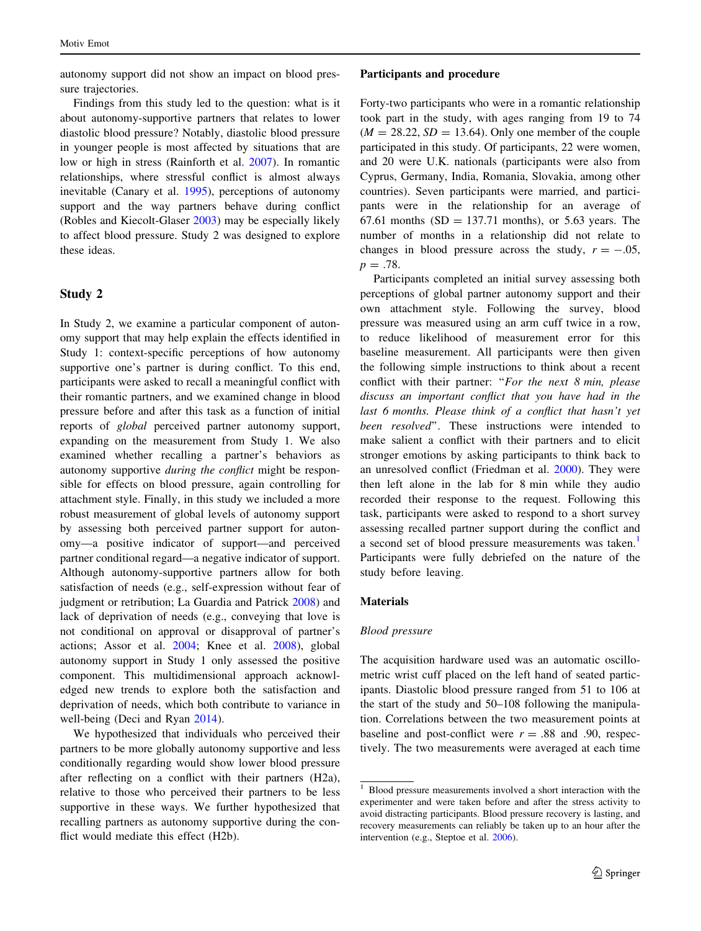autonomy support did not show an impact on blood pressure trajectories.

Findings from this study led to the question: what is it about autonomy-supportive partners that relates to lower diastolic blood pressure? Notably, diastolic blood pressure in younger people is most affected by situations that are low or high in stress (Rainforth et al. [2007\)](#page-12-0). In romantic relationships, where stressful conflict is almost always inevitable (Canary et al. [1995](#page-10-0)), perceptions of autonomy support and the way partners behave during conflict (Robles and Kiecolt-Glaser [2003](#page-12-0)) may be especially likely to affect blood pressure. Study 2 was designed to explore these ideas.

# Study 2

In Study 2, we examine a particular component of autonomy support that may help explain the effects identified in Study 1: context-specific perceptions of how autonomy supportive one's partner is during conflict. To this end, participants were asked to recall a meaningful conflict with their romantic partners, and we examined change in blood pressure before and after this task as a function of initial reports of global perceived partner autonomy support, expanding on the measurement from Study 1. We also examined whether recalling a partner's behaviors as autonomy supportive during the conflict might be responsible for effects on blood pressure, again controlling for attachment style. Finally, in this study we included a more robust measurement of global levels of autonomy support by assessing both perceived partner support for autonomy—a positive indicator of support—and perceived partner conditional regard—a negative indicator of support. Although autonomy-supportive partners allow for both satisfaction of needs (e.g., self-expression without fear of judgment or retribution; La Guardia and Patrick [2008](#page-11-0)) and lack of deprivation of needs (e.g., conveying that love is not conditional on approval or disapproval of partner's actions; Assor et al. [2004;](#page-10-0) Knee et al. [2008](#page-11-0)), global autonomy support in Study 1 only assessed the positive component. This multidimensional approach acknowledged new trends to explore both the satisfaction and deprivation of needs, which both contribute to variance in well-being (Deci and Ryan [2014\)](#page-11-0).

We hypothesized that individuals who perceived their partners to be more globally autonomy supportive and less conditionally regarding would show lower blood pressure after reflecting on a conflict with their partners (H2a), relative to those who perceived their partners to be less supportive in these ways. We further hypothesized that recalling partners as autonomy supportive during the conflict would mediate this effect (H2b).

#### Participants and procedure

Forty-two participants who were in a romantic relationship took part in the study, with ages ranging from 19 to 74  $(M = 28.22, SD = 13.64)$ . Only one member of the couple participated in this study. Of participants, 22 were women, and 20 were U.K. nationals (participants were also from Cyprus, Germany, India, Romania, Slovakia, among other countries). Seven participants were married, and participants were in the relationship for an average of 67.61 months (SD = 137.71 months), or 5.63 years. The number of months in a relationship did not relate to changes in blood pressure across the study,  $r = -.05$ ,  $p = .78$ .

Participants completed an initial survey assessing both perceptions of global partner autonomy support and their own attachment style. Following the survey, blood pressure was measured using an arm cuff twice in a row, to reduce likelihood of measurement error for this baseline measurement. All participants were then given the following simple instructions to think about a recent conflict with their partner: "For the next 8 min, please discuss an important conflict that you have had in the last 6 months. Please think of a conflict that hasn't yet been resolved''. These instructions were intended to make salient a conflict with their partners and to elicit stronger emotions by asking participants to think back to an unresolved conflict (Friedman et al. [2000\)](#page-11-0). They were then left alone in the lab for 8 min while they audio recorded their response to the request. Following this task, participants were asked to respond to a short survey assessing recalled partner support during the conflict and a second set of blood pressure measurements was taken.<sup>1</sup> Participants were fully debriefed on the nature of the study before leaving.

#### **Materials**

### Blood pressure

The acquisition hardware used was an automatic oscillometric wrist cuff placed on the left hand of seated participants. Diastolic blood pressure ranged from 51 to 106 at the start of the study and 50–108 following the manipulation. Correlations between the two measurement points at baseline and post-conflict were  $r = .88$  and .90, respectively. The two measurements were averaged at each time

 $\frac{1}{1}$  Blood pressure measurements involved a short interaction with the experimenter and were taken before and after the stress activity to avoid distracting participants. Blood pressure recovery is lasting, and recovery measurements can reliably be taken up to an hour after the intervention (e.g., Steptoe et al. [2006](#page-12-0)).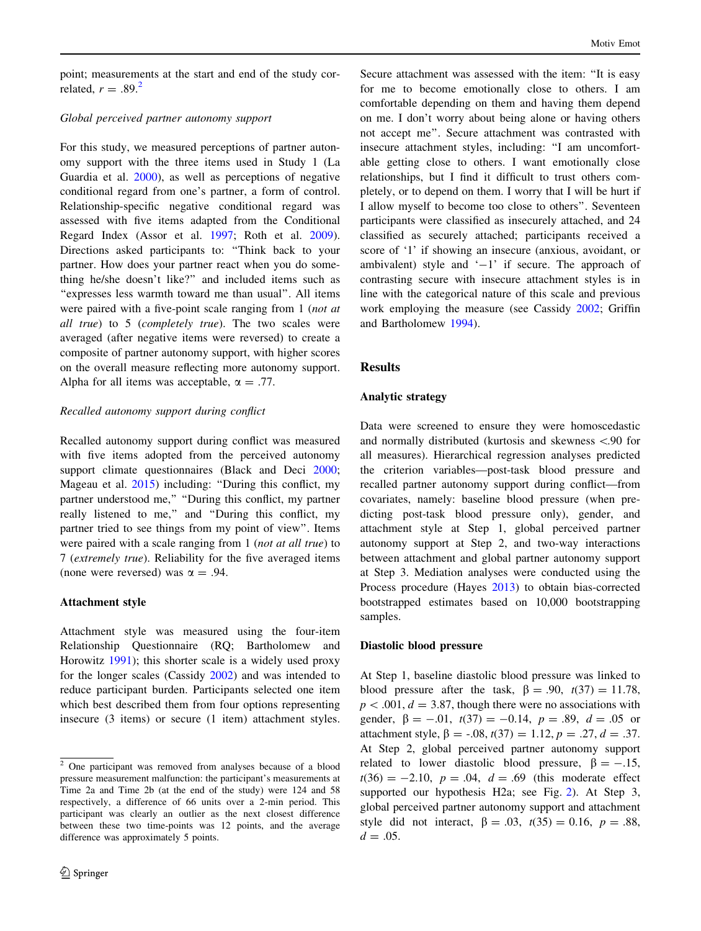point; measurements at the start and end of the study correlated,  $r = .89<sup>2</sup>$ 

### Global perceived partner autonomy support

For this study, we measured perceptions of partner autonomy support with the three items used in Study 1 (La Guardia et al. [2000\)](#page-11-0), as well as perceptions of negative conditional regard from one's partner, a form of control. Relationship-specific negative conditional regard was assessed with five items adapted from the Conditional Regard Index (Assor et al. [1997](#page-10-0); Roth et al. [2009](#page-12-0)). Directions asked participants to: ''Think back to your partner. How does your partner react when you do something he/she doesn't like?'' and included items such as "expresses less warmth toward me than usual". All items were paired with a five-point scale ranging from 1 (not at all true) to 5 (completely true). The two scales were averaged (after negative items were reversed) to create a composite of partner autonomy support, with higher scores on the overall measure reflecting more autonomy support. Alpha for all items was acceptable,  $\alpha = .77$ .

### Recalled autonomy support during conflict

Recalled autonomy support during conflict was measured with five items adopted from the perceived autonomy support climate questionnaires (Black and Deci [2000](#page-10-0); Mageau et al. [2015](#page-12-0)) including: ''During this conflict, my partner understood me,'' ''During this conflict, my partner really listened to me," and "During this conflict, my partner tried to see things from my point of view''. Items were paired with a scale ranging from 1 (*not at all true*) to 7 (extremely true). Reliability for the five averaged items (none were reversed) was  $\alpha = .94$ .

### Attachment style

Attachment style was measured using the four-item Relationship Questionnaire (RQ; Bartholomew and Horowitz [1991](#page-10-0)); this shorter scale is a widely used proxy for the longer scales (Cassidy [2002](#page-10-0)) and was intended to reduce participant burden. Participants selected one item which best described them from four options representing insecure (3 items) or secure (1 item) attachment styles. Secure attachment was assessed with the item: ''It is easy for me to become emotionally close to others. I am comfortable depending on them and having them depend on me. I don't worry about being alone or having others not accept me''. Secure attachment was contrasted with insecure attachment styles, including: ''I am uncomfortable getting close to others. I want emotionally close relationships, but I find it difficult to trust others completely, or to depend on them. I worry that I will be hurt if I allow myself to become too close to others''. Seventeen participants were classified as insecurely attached, and 24 classified as securely attached; participants received a score of '1' if showing an insecure (anxious, avoidant, or ambivalent) style and  $-1$  if secure. The approach of contrasting secure with insecure attachment styles is in line with the categorical nature of this scale and previous work employing the measure (see Cassidy [2002;](#page-10-0) Griffin and Bartholomew [1994](#page-11-0)).

# Results

# Analytic strategy

Data were screened to ensure they were homoscedastic and normally distributed (kurtosis and skewness \.90 for all measures). Hierarchical regression analyses predicted the criterion variables—post-task blood pressure and recalled partner autonomy support during conflict—from covariates, namely: baseline blood pressure (when predicting post-task blood pressure only), gender, and attachment style at Step 1, global perceived partner autonomy support at Step 2, and two-way interactions between attachment and global partner autonomy support at Step 3. Mediation analyses were conducted using the Process procedure (Hayes [2013](#page-11-0)) to obtain bias-corrected bootstrapped estimates based on 10,000 bootstrapping samples.

### Diastolic blood pressure

At Step 1, baseline diastolic blood pressure was linked to blood pressure after the task,  $\beta = .90$ ,  $t(37) = 11.78$ ,  $p < .001$ ,  $d = 3.87$ , though there were no associations with gender,  $\beta = -.01$ ,  $t(37) = -0.14$ ,  $p = .89$ ,  $d = .05$  or attachment style,  $\beta = -.08$ ,  $t(37) = 1.12$ ,  $p = .27$ ,  $d = .37$ . At Step 2, global perceived partner autonomy support related to lower diastolic blood pressure,  $\beta = -.15$ ,  $t(36) = -2.10$ ,  $p = .04$ ,  $d = .69$  (this moderate effect supported our hypothesis H2a; see Fig. [2](#page-8-0)). At Step 3, global perceived partner autonomy support and attachment style did not interact,  $\beta = .03$ ,  $t(35) = 0.16$ ,  $p = .88$ ,  $d = .05$ .

<sup>2</sup> One participant was removed from analyses because of a blood pressure measurement malfunction: the participant's measurements at Time 2a and Time 2b (at the end of the study) were 124 and 58 respectively, a difference of 66 units over a 2-min period. This participant was clearly an outlier as the next closest difference between these two time-points was 12 points, and the average difference was approximately 5 points.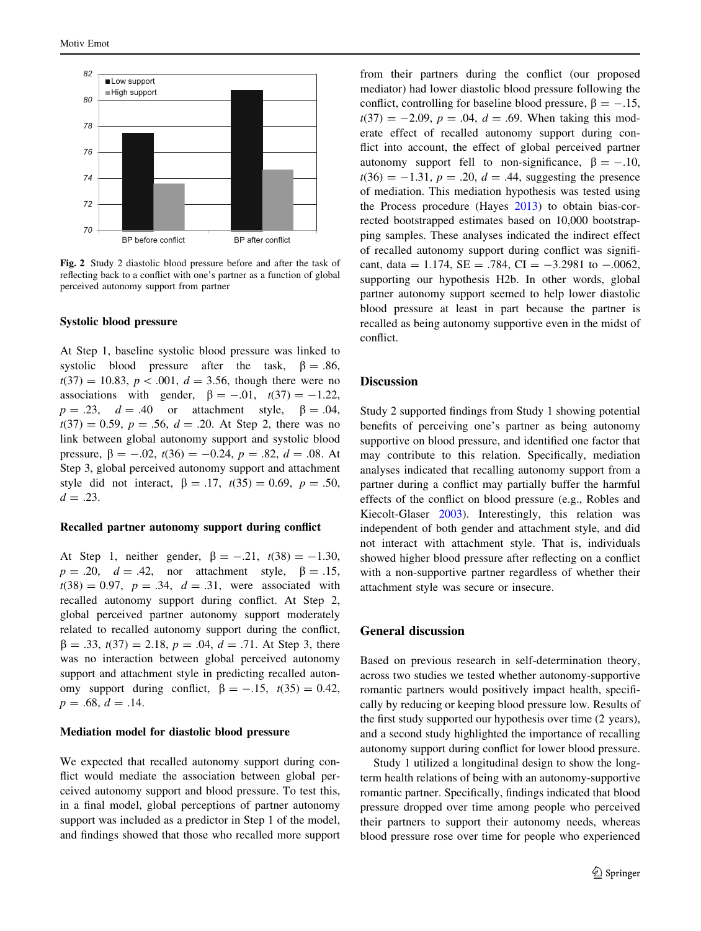<span id="page-8-0"></span>

Fig. 2 Study 2 diastolic blood pressure before and after the task of reflecting back to a conflict with one's partner as a function of global perceived autonomy support from partner

#### Systolic blood pressure

At Step 1, baseline systolic blood pressure was linked to systolic blood pressure after the task,  $\beta = .86$ ,  $t(37) = 10.83, p < .001, d = 3.56$ , though there were no associations with gender,  $\beta = -.01$ ,  $t(37) = -1.22$ ,  $p = .23$ ,  $d = .40$  or attachment style,  $\beta = .04$ ,  $t(37) = 0.59$ ,  $p = .56$ ,  $d = .20$ . At Step 2, there was no link between global autonomy support and systolic blood pressure,  $\beta = -.02$ ,  $t(36) = -0.24$ ,  $p = .82$ ,  $d = .08$ . At Step 3, global perceived autonomy support and attachment style did not interact,  $\beta = .17$ ,  $t(35) = 0.69$ ,  $p = .50$ ,  $d = .23$ .

#### Recalled partner autonomy support during conflict

At Step 1, neither gender,  $\beta = -.21, t(38) = -1.30,$  $p = .20$ ,  $d = .42$ , nor attachment style,  $\beta = .15$ ,  $t(38) = 0.97$ ,  $p = .34$ ,  $d = .31$ , were associated with recalled autonomy support during conflict. At Step 2, global perceived partner autonomy support moderately related to recalled autonomy support during the conflict,  $\beta = .33, t(37) = 2.18, p = .04, d = .71$ . At Step 3, there was no interaction between global perceived autonomy support and attachment style in predicting recalled autonomy support during conflict,  $\beta = -.15$ ,  $t(35) = 0.42$ ,  $p = .68, d = .14.$ 

### Mediation model for diastolic blood pressure

We expected that recalled autonomy support during conflict would mediate the association between global perceived autonomy support and blood pressure. To test this, in a final model, global perceptions of partner autonomy support was included as a predictor in Step 1 of the model, and findings showed that those who recalled more support

from their partners during the conflict (our proposed mediator) had lower diastolic blood pressure following the conflict, controlling for baseline blood pressure,  $\beta = -.15$ ,  $t(37) = -2.09$ ,  $p = .04$ ,  $d = .69$ . When taking this moderate effect of recalled autonomy support during conflict into account, the effect of global perceived partner autonomy support fell to non-significance,  $\beta = -.10$ ,  $t(36) = -1.31, p = .20, d = .44$ , suggesting the presence of mediation. This mediation hypothesis was tested using the Process procedure (Hayes [2013](#page-11-0)) to obtain bias-corrected bootstrapped estimates based on 10,000 bootstrapping samples. These analyses indicated the indirect effect of recalled autonomy support during conflict was significant, data = 1.174, SE = .784, CI =  $-3.2981$  to  $-.0062$ , supporting our hypothesis H2b. In other words, global partner autonomy support seemed to help lower diastolic blood pressure at least in part because the partner is recalled as being autonomy supportive even in the midst of conflict.

#### **Discussion**

Study 2 supported findings from Study 1 showing potential benefits of perceiving one's partner as being autonomy supportive on blood pressure, and identified one factor that may contribute to this relation. Specifically, mediation analyses indicated that recalling autonomy support from a partner during a conflict may partially buffer the harmful effects of the conflict on blood pressure (e.g., Robles and Kiecolt-Glaser [2003\)](#page-12-0). Interestingly, this relation was independent of both gender and attachment style, and did not interact with attachment style. That is, individuals showed higher blood pressure after reflecting on a conflict with a non-supportive partner regardless of whether their attachment style was secure or insecure.

### General discussion

Based on previous research in self-determination theory, across two studies we tested whether autonomy-supportive romantic partners would positively impact health, specifically by reducing or keeping blood pressure low. Results of the first study supported our hypothesis over time (2 years), and a second study highlighted the importance of recalling autonomy support during conflict for lower blood pressure.

Study 1 utilized a longitudinal design to show the longterm health relations of being with an autonomy-supportive romantic partner. Specifically, findings indicated that blood pressure dropped over time among people who perceived their partners to support their autonomy needs, whereas blood pressure rose over time for people who experienced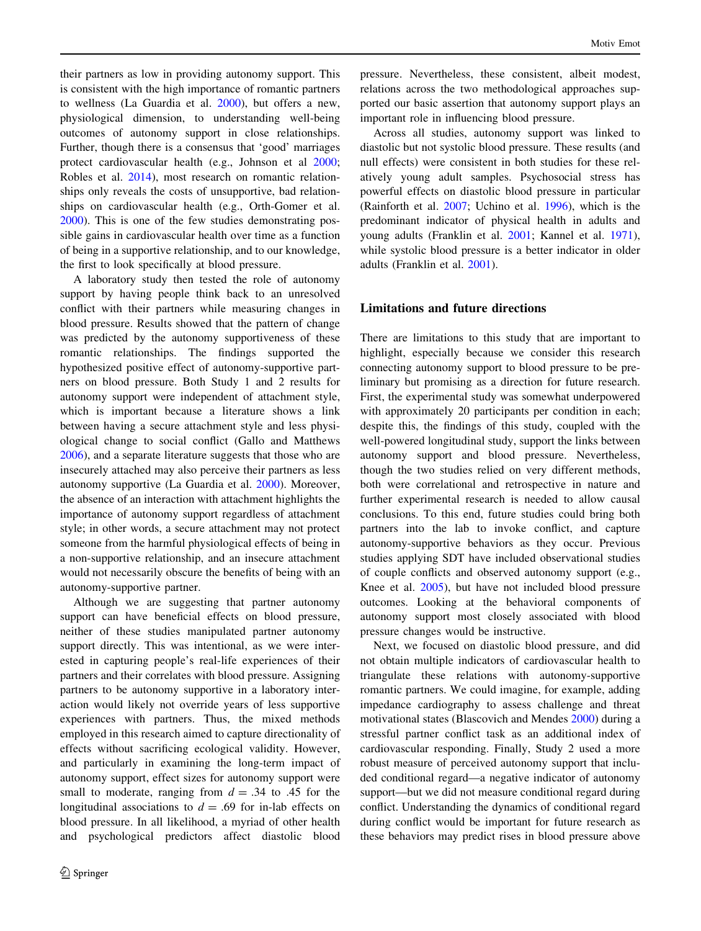their partners as low in providing autonomy support. This is consistent with the high importance of romantic partners to wellness (La Guardia et al. [2000\)](#page-11-0), but offers a new, physiological dimension, to understanding well-being outcomes of autonomy support in close relationships. Further, though there is a consensus that 'good' marriages protect cardiovascular health (e.g., Johnson et al [2000](#page-11-0); Robles et al. [2014\)](#page-12-0), most research on romantic relationships only reveals the costs of unsupportive, bad relationships on cardiovascular health (e.g., Orth-Gomer et al. [2000\)](#page-12-0). This is one of the few studies demonstrating possible gains in cardiovascular health over time as a function of being in a supportive relationship, and to our knowledge, the first to look specifically at blood pressure.

A laboratory study then tested the role of autonomy support by having people think back to an unresolved conflict with their partners while measuring changes in blood pressure. Results showed that the pattern of change was predicted by the autonomy supportiveness of these romantic relationships. The findings supported the hypothesized positive effect of autonomy-supportive partners on blood pressure. Both Study 1 and 2 results for autonomy support were independent of attachment style, which is important because a literature shows a link between having a secure attachment style and less physiological change to social conflict (Gallo and Matthews [2006\)](#page-11-0), and a separate literature suggests that those who are insecurely attached may also perceive their partners as less autonomy supportive (La Guardia et al. [2000\)](#page-11-0). Moreover, the absence of an interaction with attachment highlights the importance of autonomy support regardless of attachment style; in other words, a secure attachment may not protect someone from the harmful physiological effects of being in a non-supportive relationship, and an insecure attachment would not necessarily obscure the benefits of being with an autonomy-supportive partner.

Although we are suggesting that partner autonomy support can have beneficial effects on blood pressure, neither of these studies manipulated partner autonomy support directly. This was intentional, as we were interested in capturing people's real-life experiences of their partners and their correlates with blood pressure. Assigning partners to be autonomy supportive in a laboratory interaction would likely not override years of less supportive experiences with partners. Thus, the mixed methods employed in this research aimed to capture directionality of effects without sacrificing ecological validity. However, and particularly in examining the long-term impact of autonomy support, effect sizes for autonomy support were small to moderate, ranging from  $d = .34$  to .45 for the longitudinal associations to  $d = .69$  for in-lab effects on blood pressure. In all likelihood, a myriad of other health and psychological predictors affect diastolic blood

pressure. Nevertheless, these consistent, albeit modest, relations across the two methodological approaches supported our basic assertion that autonomy support plays an important role in influencing blood pressure.

Across all studies, autonomy support was linked to diastolic but not systolic blood pressure. These results (and null effects) were consistent in both studies for these relatively young adult samples. Psychosocial stress has powerful effects on diastolic blood pressure in particular (Rainforth et al. [2007](#page-12-0); Uchino et al. [1996\)](#page-13-0), which is the predominant indicator of physical health in adults and young adults (Franklin et al. [2001;](#page-11-0) Kannel et al. [1971](#page-11-0)), while systolic blood pressure is a better indicator in older adults (Franklin et al. [2001\)](#page-11-0).

# Limitations and future directions

There are limitations to this study that are important to highlight, especially because we consider this research connecting autonomy support to blood pressure to be preliminary but promising as a direction for future research. First, the experimental study was somewhat underpowered with approximately 20 participants per condition in each; despite this, the findings of this study, coupled with the well-powered longitudinal study, support the links between autonomy support and blood pressure. Nevertheless, though the two studies relied on very different methods, both were correlational and retrospective in nature and further experimental research is needed to allow causal conclusions. To this end, future studies could bring both partners into the lab to invoke conflict, and capture autonomy-supportive behaviors as they occur. Previous studies applying SDT have included observational studies of couple conflicts and observed autonomy support (e.g., Knee et al. [2005](#page-11-0)), but have not included blood pressure outcomes. Looking at the behavioral components of autonomy support most closely associated with blood pressure changes would be instructive.

Next, we focused on diastolic blood pressure, and did not obtain multiple indicators of cardiovascular health to triangulate these relations with autonomy-supportive romantic partners. We could imagine, for example, adding impedance cardiography to assess challenge and threat motivational states (Blascovich and Mendes [2000](#page-10-0)) during a stressful partner conflict task as an additional index of cardiovascular responding. Finally, Study 2 used a more robust measure of perceived autonomy support that included conditional regard—a negative indicator of autonomy support—but we did not measure conditional regard during conflict. Understanding the dynamics of conditional regard during conflict would be important for future research as these behaviors may predict rises in blood pressure above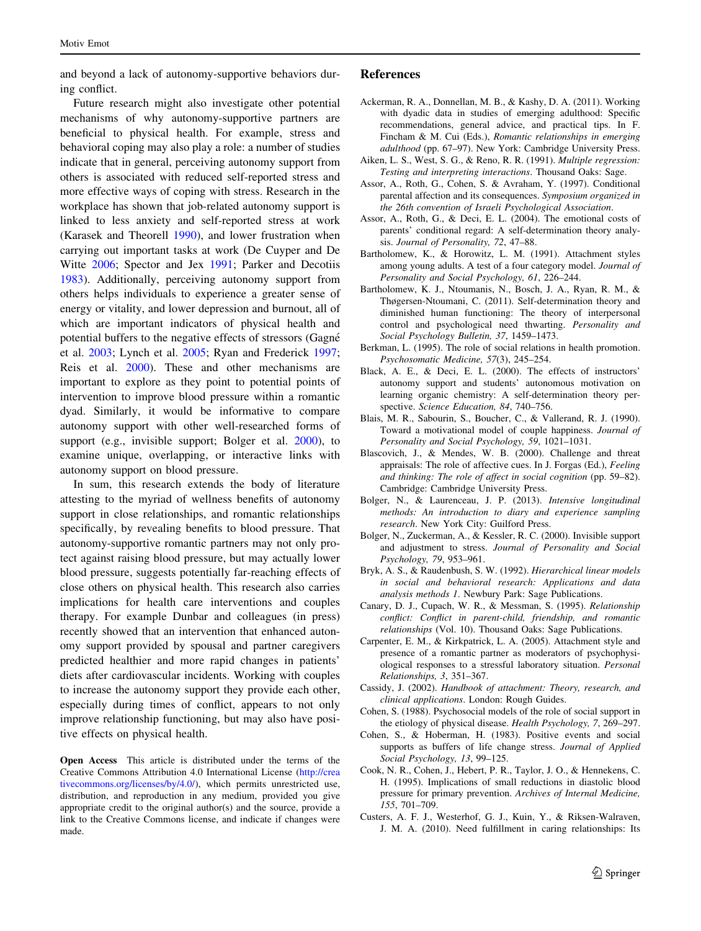<span id="page-10-0"></span>and beyond a lack of autonomy-supportive behaviors during conflict.

Future research might also investigate other potential mechanisms of why autonomy-supportive partners are beneficial to physical health. For example, stress and behavioral coping may also play a role: a number of studies indicate that in general, perceiving autonomy support from others is associated with reduced self-reported stress and more effective ways of coping with stress. Research in the workplace has shown that job-related autonomy support is linked to less anxiety and self-reported stress at work (Karasek and Theorell [1990](#page-11-0)), and lower frustration when carrying out important tasks at work (De Cuyper and De Witte [2006](#page-11-0); Spector and Jex [1991](#page-12-0); Parker and Decotiis [1983\)](#page-12-0). Additionally, perceiving autonomy support from others helps individuals to experience a greater sense of energy or vitality, and lower depression and burnout, all of which are important indicators of physical health and potential buffers to the negative effects of stressors (Gagné et al. [2003](#page-11-0); Lynch et al. [2005](#page-12-0); Ryan and Frederick [1997](#page-12-0); Reis et al. [2000](#page-12-0)). These and other mechanisms are important to explore as they point to potential points of intervention to improve blood pressure within a romantic dyad. Similarly, it would be informative to compare autonomy support with other well-researched forms of support (e.g., invisible support; Bolger et al. 2000), to examine unique, overlapping, or interactive links with autonomy support on blood pressure.

In sum, this research extends the body of literature attesting to the myriad of wellness benefits of autonomy support in close relationships, and romantic relationships specifically, by revealing benefits to blood pressure. That autonomy-supportive romantic partners may not only protect against raising blood pressure, but may actually lower blood pressure, suggests potentially far-reaching effects of close others on physical health. This research also carries implications for health care interventions and couples therapy. For example Dunbar and colleagues (in press) recently showed that an intervention that enhanced autonomy support provided by spousal and partner caregivers predicted healthier and more rapid changes in patients' diets after cardiovascular incidents. Working with couples to increase the autonomy support they provide each other, especially during times of conflict, appears to not only improve relationship functioning, but may also have positive effects on physical health.

Open Access This article is distributed under the terms of the Creative Commons Attribution 4.0 International License ([http://crea](http://creativecommons.org/licenses/by/4.0/) [tivecommons.org/licenses/by/4.0/\)](http://creativecommons.org/licenses/by/4.0/), which permits unrestricted use, distribution, and reproduction in any medium, provided you give appropriate credit to the original author(s) and the source, provide a link to the Creative Commons license, and indicate if changes were made.

### References

- Ackerman, R. A., Donnellan, M. B., & Kashy, D. A. (2011). Working with dyadic data in studies of emerging adulthood: Specific recommendations, general advice, and practical tips. In F. Fincham & M. Cui (Eds.), Romantic relationships in emerging adulthood (pp. 67–97). New York: Cambridge University Press.
- Aiken, L. S., West, S. G., & Reno, R. R. (1991). Multiple regression: Testing and interpreting interactions. Thousand Oaks: Sage.
- Assor, A., Roth, G., Cohen, S. & Avraham, Y. (1997). Conditional parental affection and its consequences. Symposium organized in the 26th convention of Israeli Psychological Association.
- Assor, A., Roth, G., & Deci, E. L. (2004). The emotional costs of parents' conditional regard: A self-determination theory analysis. Journal of Personality, 72, 47–88.
- Bartholomew, K., & Horowitz, L. M. (1991). Attachment styles among young adults. A test of a four category model. Journal of Personality and Social Psychology, 61, 226–244.
- Bartholomew, K. J., Ntoumanis, N., Bosch, J. A., Ryan, R. M., & Thøgersen-Ntoumani, C. (2011). Self-determination theory and diminished human functioning: The theory of interpersonal control and psychological need thwarting. Personality and Social Psychology Bulletin, 37, 1459–1473.
- Berkman, L. (1995). The role of social relations in health promotion. Psychosomatic Medicine, 57(3), 245–254.
- Black, A. E., & Deci, E. L. (2000). The effects of instructors' autonomy support and students' autonomous motivation on learning organic chemistry: A self-determination theory perspective. Science Education, 84, 740-756.
- Blais, M. R., Sabourin, S., Boucher, C., & Vallerand, R. J. (1990). Toward a motivational model of couple happiness. Journal of Personality and Social Psychology, 59, 1021–1031.
- Blascovich, J., & Mendes, W. B. (2000). Challenge and threat appraisals: The role of affective cues. In J. Forgas (Ed.), Feeling and thinking: The role of affect in social cognition (pp. 59–82). Cambridge: Cambridge University Press.
- Bolger, N., & Laurenceau, J. P. (2013). Intensive longitudinal methods: An introduction to diary and experience sampling research. New York City: Guilford Press.
- Bolger, N., Zuckerman, A., & Kessler, R. C. (2000). Invisible support and adjustment to stress. Journal of Personality and Social Psychology, 79, 953–961.
- Bryk, A. S., & Raudenbush, S. W. (1992). Hierarchical linear models in social and behavioral research: Applications and data analysis methods 1. Newbury Park: Sage Publications.
- Canary, D. J., Cupach, W. R., & Messman, S. (1995). Relationship conflict: Conflict in parent-child, friendship, and romantic relationships (Vol. 10). Thousand Oaks: Sage Publications.
- Carpenter, E. M., & Kirkpatrick, L. A. (2005). Attachment style and presence of a romantic partner as moderators of psychophysiological responses to a stressful laboratory situation. Personal Relationships, 3, 351–367.
- Cassidy, J. (2002). Handbook of attachment: Theory, research, and clinical applications. London: Rough Guides.
- Cohen, S. (1988). Psychosocial models of the role of social support in the etiology of physical disease. Health Psychology, 7, 269–297.
- Cohen, S., & Hoberman, H. (1983). Positive events and social supports as buffers of life change stress. Journal of Applied Social Psychology, 13, 99–125.
- Cook, N. R., Cohen, J., Hebert, P. R., Taylor, J. O., & Hennekens, C. H. (1995). Implications of small reductions in diastolic blood pressure for primary prevention. Archives of Internal Medicine, 155, 701–709.
- Custers, A. F. J., Westerhof, G. J., Kuin, Y., & Riksen-Walraven, J. M. A. (2010). Need fulfillment in caring relationships: Its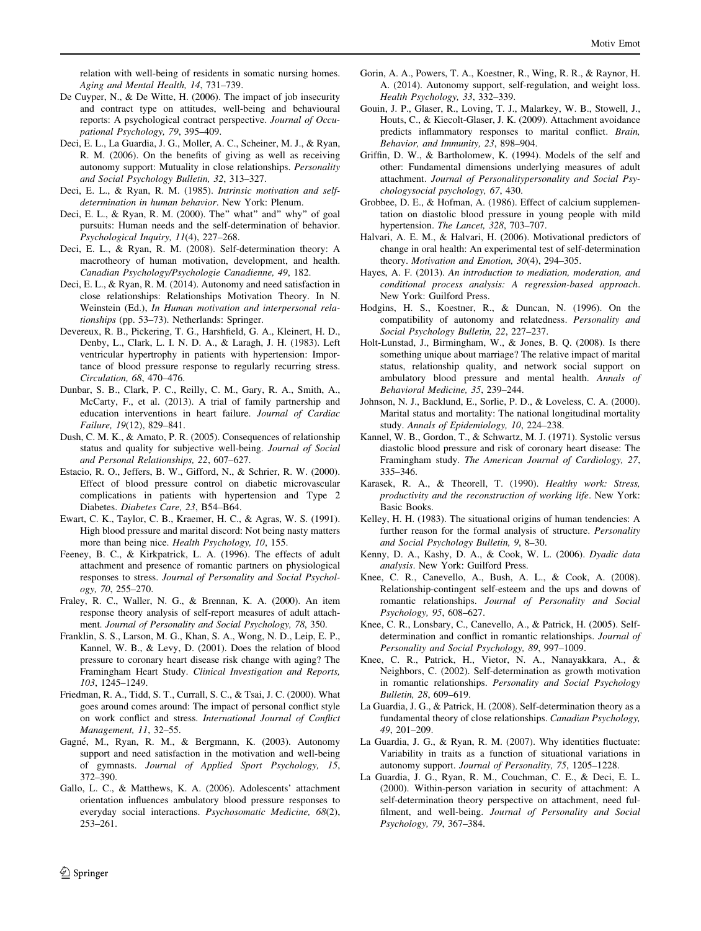<span id="page-11-0"></span>relation with well-being of residents in somatic nursing homes. Aging and Mental Health, 14, 731–739.

- De Cuyper, N., & De Witte, H. (2006). The impact of job insecurity and contract type on attitudes, well-being and behavioural reports: A psychological contract perspective. Journal of Occupational Psychology, 79, 395–409.
- Deci, E. L., La Guardia, J. G., Moller, A. C., Scheiner, M. J., & Ryan, R. M. (2006). On the benefits of giving as well as receiving autonomy support: Mutuality in close relationships. Personality and Social Psychology Bulletin, 32, 313–327.
- Deci, E. L., & Ryan, R. M. (1985). Intrinsic motivation and selfdetermination in human behavior. New York: Plenum.
- Deci, E. L., & Ryan, R. M. (2000). The'' what'' and'' why'' of goal pursuits: Human needs and the self-determination of behavior. Psychological Inquiry, 11(4), 227–268.
- Deci, E. L., & Ryan, R. M. (2008). Self-determination theory: A macrotheory of human motivation, development, and health. Canadian Psychology/Psychologie Canadienne, 49, 182.
- Deci, E. L., & Ryan, R. M. (2014). Autonomy and need satisfaction in close relationships: Relationships Motivation Theory. In N. Weinstein (Ed.), In Human motivation and interpersonal relationships (pp. 53–73). Netherlands: Springer.
- Devereux, R. B., Pickering, T. G., Harshfield, G. A., Kleinert, H. D., Denby, L., Clark, L. I. N. D. A., & Laragh, J. H. (1983). Left ventricular hypertrophy in patients with hypertension: Importance of blood pressure response to regularly recurring stress. Circulation, 68, 470–476.
- Dunbar, S. B., Clark, P. C., Reilly, C. M., Gary, R. A., Smith, A., McCarty, F., et al. (2013). A trial of family partnership and education interventions in heart failure. Journal of Cardiac Failure, 19(12), 829–841.
- Dush, C. M. K., & Amato, P. R. (2005). Consequences of relationship status and quality for subjective well-being. Journal of Social and Personal Relationships, 22, 607–627.
- Estacio, R. O., Jeffers, B. W., Gifford, N., & Schrier, R. W. (2000). Effect of blood pressure control on diabetic microvascular complications in patients with hypertension and Type 2 Diabetes. Diabetes Care, 23, B54–B64.
- Ewart, C. K., Taylor, C. B., Kraemer, H. C., & Agras, W. S. (1991). High blood pressure and marital discord: Not being nasty matters more than being nice. Health Psychology, 10, 155.
- Feeney, B. C., & Kirkpatrick, L. A. (1996). The effects of adult attachment and presence of romantic partners on physiological responses to stress. Journal of Personality and Social Psychology, 70, 255–270.
- Fraley, R. C., Waller, N. G., & Brennan, K. A. (2000). An item response theory analysis of self-report measures of adult attachment. Journal of Personality and Social Psychology, 78, 350.
- Franklin, S. S., Larson, M. G., Khan, S. A., Wong, N. D., Leip, E. P., Kannel, W. B., & Levy, D. (2001). Does the relation of blood pressure to coronary heart disease risk change with aging? The Framingham Heart Study. Clinical Investigation and Reports, 103, 1245–1249.
- Friedman, R. A., Tidd, S. T., Currall, S. C., & Tsai, J. C. (2000). What goes around comes around: The impact of personal conflict style on work conflict and stress. International Journal of Conflict Management, 11, 32–55.
- Gagné, M., Ryan, R. M., & Bergmann, K. (2003). Autonomy support and need satisfaction in the motivation and well-being of gymnasts. Journal of Applied Sport Psychology, 15, 372–390.
- Gallo, L. C., & Matthews, K. A. (2006). Adolescents' attachment orientation influences ambulatory blood pressure responses to everyday social interactions. Psychosomatic Medicine, 68(2), 253–261.
- Gorin, A. A., Powers, T. A., Koestner, R., Wing, R. R., & Raynor, H. A. (2014). Autonomy support, self-regulation, and weight loss. Health Psychology, 33, 332–339.
- Gouin, J. P., Glaser, R., Loving, T. J., Malarkey, W. B., Stowell, J., Houts, C., & Kiecolt-Glaser, J. K. (2009). Attachment avoidance predicts inflammatory responses to marital conflict. Brain, Behavior, and Immunity, 23, 898–904.
- Griffin, D. W., & Bartholomew, K. (1994). Models of the self and other: Fundamental dimensions underlying measures of adult attachment. Journal of Personalitypersonality and Social Psychologysocial psychology, 67, 430.
- Grobbee, D. E., & Hofman, A. (1986). Effect of calcium supplementation on diastolic blood pressure in young people with mild hypertension. The Lancet, 328, 703–707.
- Halvari, A. E. M., & Halvari, H. (2006). Motivational predictors of change in oral health: An experimental test of self-determination theory. Motivation and Emotion, 30(4), 294–305.
- Hayes, A. F. (2013). An introduction to mediation, moderation, and conditional process analysis: A regression-based approach. New York: Guilford Press.
- Hodgins, H. S., Koestner, R., & Duncan, N. (1996). On the compatibility of autonomy and relatedness. Personality and Social Psychology Bulletin, 22, 227–237.
- Holt-Lunstad, J., Birmingham, W., & Jones, B. Q. (2008). Is there something unique about marriage? The relative impact of marital status, relationship quality, and network social support on ambulatory blood pressure and mental health. Annals of Behavioral Medicine, 35, 239–244.
- Johnson, N. J., Backlund, E., Sorlie, P. D., & Loveless, C. A. (2000). Marital status and mortality: The national longitudinal mortality study. Annals of Epidemiology, 10, 224–238.
- Kannel, W. B., Gordon, T., & Schwartz, M. J. (1971). Systolic versus diastolic blood pressure and risk of coronary heart disease: The Framingham study. The American Journal of Cardiology, 27, 335–346.
- Karasek, R. A., & Theorell, T. (1990). Healthy work: Stress, productivity and the reconstruction of working life. New York: Basic Books.
- Kelley, H. H. (1983). The situational origins of human tendencies: A further reason for the formal analysis of structure. Personality and Social Psychology Bulletin, 9, 8–30.
- Kenny, D. A., Kashy, D. A., & Cook, W. L. (2006). Dyadic data analysis. New York: Guilford Press.
- Knee, C. R., Canevello, A., Bush, A. L., & Cook, A. (2008). Relationship-contingent self-esteem and the ups and downs of romantic relationships. Journal of Personality and Social Psychology, 95, 608–627.
- Knee, C. R., Lonsbary, C., Canevello, A., & Patrick, H. (2005). Selfdetermination and conflict in romantic relationships. Journal of Personality and Social Psychology, 89, 997–1009.
- Knee, C. R., Patrick, H., Vietor, N. A., Nanayakkara, A., & Neighbors, C. (2002). Self-determination as growth motivation in romantic relationships. Personality and Social Psychology Bulletin, 28, 609–619.
- La Guardia, J. G., & Patrick, H. (2008). Self-determination theory as a fundamental theory of close relationships. Canadian Psychology, 49, 201–209.
- La Guardia, J. G., & Ryan, R. M. (2007). Why identities fluctuate: Variability in traits as a function of situational variations in autonomy support. Journal of Personality, 75, 1205–1228.
- La Guardia, J. G., Ryan, R. M., Couchman, C. E., & Deci, E. L. (2000). Within-person variation in security of attachment: A self-determination theory perspective on attachment, need fulfilment, and well-being. Journal of Personality and Social Psychology, 79, 367–384.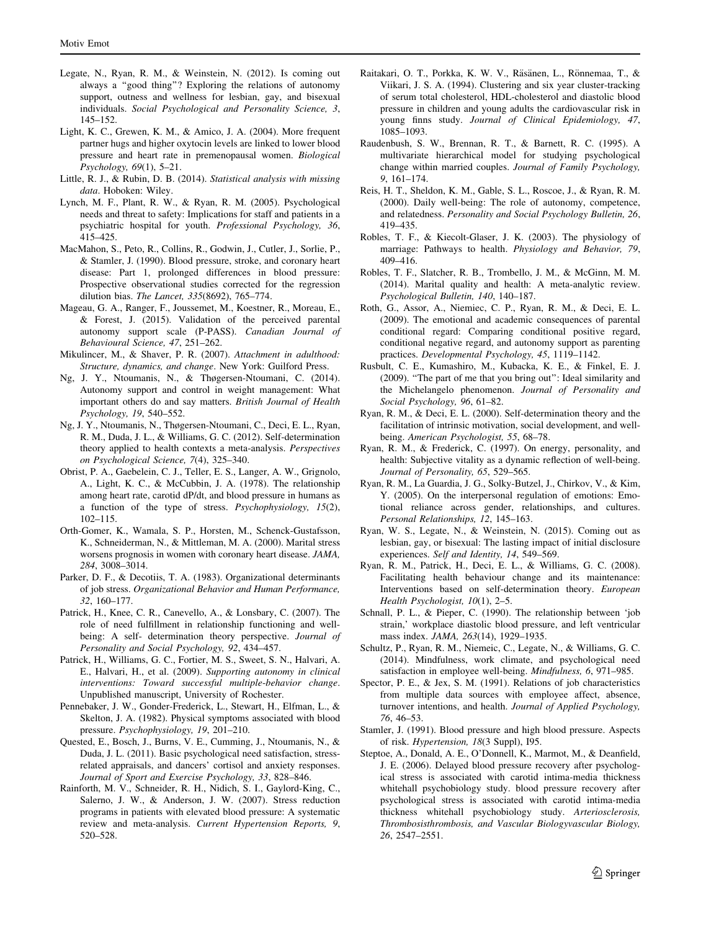- <span id="page-12-0"></span>Legate, N., Ryan, R. M., & Weinstein, N. (2012). Is coming out always a ''good thing''? Exploring the relations of autonomy support, outness and wellness for lesbian, gay, and bisexual individuals. Social Psychological and Personality Science, 3, 145–152.
- Light, K. C., Grewen, K. M., & Amico, J. A. (2004). More frequent partner hugs and higher oxytocin levels are linked to lower blood pressure and heart rate in premenopausal women. Biological Psychology, 69(1), 5–21.
- Little, R. J., & Rubin, D. B. (2014). Statistical analysis with missing data. Hoboken: Wiley.
- Lynch, M. F., Plant, R. W., & Ryan, R. M. (2005). Psychological needs and threat to safety: Implications for staff and patients in a psychiatric hospital for youth. Professional Psychology, 36, 415–425.
- MacMahon, S., Peto, R., Collins, R., Godwin, J., Cutler, J., Sorlie, P., & Stamler, J. (1990). Blood pressure, stroke, and coronary heart disease: Part 1, prolonged differences in blood pressure: Prospective observational studies corrected for the regression dilution bias. The Lancet, 335(8692), 765–774.
- Mageau, G. A., Ranger, F., Joussemet, M., Koestner, R., Moreau, E., & Forest, J. (2015). Validation of the perceived parental autonomy support scale (P-PASS). Canadian Journal of Behavioural Science, 47, 251–262.
- Mikulincer, M., & Shaver, P. R. (2007). Attachment in adulthood: Structure, dynamics, and change. New York: Guilford Press.
- Ng, J. Y., Ntoumanis, N., & Thøgersen-Ntoumani, C. (2014). Autonomy support and control in weight management: What important others do and say matters. British Journal of Health Psychology, 19, 540–552.
- Ng, J. Y., Ntoumanis, N., Thøgersen-Ntoumani, C., Deci, E. L., Ryan, R. M., Duda, J. L., & Williams, G. C. (2012). Self-determination theory applied to health contexts a meta-analysis. Perspectives on Psychological Science, 7(4), 325–340.
- Obrist, P. A., Gaebelein, C. J., Teller, E. S., Langer, A. W., Grignolo, A., Light, K. C., & McCubbin, J. A. (1978). The relationship among heart rate, carotid dP/dt, and blood pressure in humans as a function of the type of stress. Psychophysiology, 15(2), 102–115.
- Orth-Gomer, K., Wamala, S. P., Horsten, M., Schenck-Gustafsson, K., Schneiderman, N., & Mittleman, M. A. (2000). Marital stress worsens prognosis in women with coronary heart disease. JAMA, 284, 3008–3014.
- Parker, D. F., & Decotiis, T. A. (1983). Organizational determinants of job stress. Organizational Behavior and Human Performance, 32, 160–177.
- Patrick, H., Knee, C. R., Canevello, A., & Lonsbary, C. (2007). The role of need fulfillment in relationship functioning and wellbeing: A self- determination theory perspective. Journal of Personality and Social Psychology, 92, 434–457.
- Patrick, H., Williams, G. C., Fortier, M. S., Sweet, S. N., Halvari, A. E., Halvari, H., et al. (2009). Supporting autonomy in clinical interventions: Toward successful multiple-behavior change. Unpublished manuscript, University of Rochester.
- Pennebaker, J. W., Gonder-Frederick, L., Stewart, H., Elfman, L., & Skelton, J. A. (1982). Physical symptoms associated with blood pressure. Psychophysiology, 19, 201–210.
- Quested, E., Bosch, J., Burns, V. E., Cumming, J., Ntoumanis, N., & Duda, J. L. (2011). Basic psychological need satisfaction, stressrelated appraisals, and dancers' cortisol and anxiety responses. Journal of Sport and Exercise Psychology, 33, 828–846.
- Rainforth, M. V., Schneider, R. H., Nidich, S. I., Gaylord-King, C., Salerno, J. W., & Anderson, J. W. (2007). Stress reduction programs in patients with elevated blood pressure: A systematic review and meta-analysis. Current Hypertension Reports, 9, 520–528.
- Raitakari, O. T., Porkka, K. W. V., Räsänen, L., Rönnemaa, T., & Viikari, J. S. A. (1994). Clustering and six year cluster-tracking of serum total cholesterol, HDL-cholesterol and diastolic blood pressure in children and young adults the cardiovascular risk in young finns study. Journal of Clinical Epidemiology, 47, 1085–1093.
- Raudenbush, S. W., Brennan, R. T., & Barnett, R. C. (1995). A multivariate hierarchical model for studying psychological change within married couples. Journal of Family Psychology, 9, 161–174.
- Reis, H. T., Sheldon, K. M., Gable, S. L., Roscoe, J., & Ryan, R. M. (2000). Daily well-being: The role of autonomy, competence, and relatedness. Personality and Social Psychology Bulletin, 26, 419–435.
- Robles, T. F., & Kiecolt-Glaser, J. K. (2003). The physiology of marriage: Pathways to health. Physiology and Behavior, 79, 409–416.
- Robles, T. F., Slatcher, R. B., Trombello, J. M., & McGinn, M. M. (2014). Marital quality and health: A meta-analytic review. Psychological Bulletin, 140, 140–187.
- Roth, G., Assor, A., Niemiec, C. P., Ryan, R. M., & Deci, E. L. (2009). The emotional and academic consequences of parental conditional regard: Comparing conditional positive regard, conditional negative regard, and autonomy support as parenting practices. Developmental Psychology, 45, 1119–1142.
- Rusbult, C. E., Kumashiro, M., Kubacka, K. E., & Finkel, E. J. (2009). ''The part of me that you bring out'': Ideal similarity and the Michelangelo phenomenon. Journal of Personality and Social Psychology, 96, 61–82.
- Ryan, R. M., & Deci, E. L. (2000). Self-determination theory and the facilitation of intrinsic motivation, social development, and wellbeing. American Psychologist, 55, 68–78.
- Ryan, R. M., & Frederick, C. (1997). On energy, personality, and health: Subjective vitality as a dynamic reflection of well-being. Journal of Personality, 65, 529–565.
- Ryan, R. M., La Guardia, J. G., Solky-Butzel, J., Chirkov, V., & Kim, Y. (2005). On the interpersonal regulation of emotions: Emotional reliance across gender, relationships, and cultures. Personal Relationships, 12, 145–163.
- Ryan, W. S., Legate, N., & Weinstein, N. (2015). Coming out as lesbian, gay, or bisexual: The lasting impact of initial disclosure experiences. Self and Identity, 14, 549–569.
- Ryan, R. M., Patrick, H., Deci, E. L., & Williams, G. C. (2008). Facilitating health behaviour change and its maintenance: Interventions based on self-determination theory. European Health Psychologist, 10(1), 2–5.
- Schnall, P. L., & Pieper, C. (1990). The relationship between 'job strain,' workplace diastolic blood pressure, and left ventricular mass index. JAMA, 263(14), 1929–1935.
- Schultz, P., Ryan, R. M., Niemeic, C., Legate, N., & Williams, G. C. (2014). Mindfulness, work climate, and psychological need satisfaction in employee well-being. Mindfulness, 6, 971–985.
- Spector, P. E., & Jex, S. M. (1991). Relations of job characteristics from multiple data sources with employee affect, absence, turnover intentions, and health. Journal of Applied Psychology, 76, 46–53.
- Stamler, J. (1991). Blood pressure and high blood pressure. Aspects of risk. Hypertension, 18(3 Suppl), I95.
- Steptoe, A., Donald, A. E., O'Donnell, K., Marmot, M., & Deanfield, J. E. (2006). Delayed blood pressure recovery after psychological stress is associated with carotid intima-media thickness whitehall psychobiology study. blood pressure recovery after psychological stress is associated with carotid intima-media thickness whitehall psychobiology study. Arteriosclerosis, Thrombosisthrombosis, and Vascular Biologyvascular Biology, 26, 2547–2551.